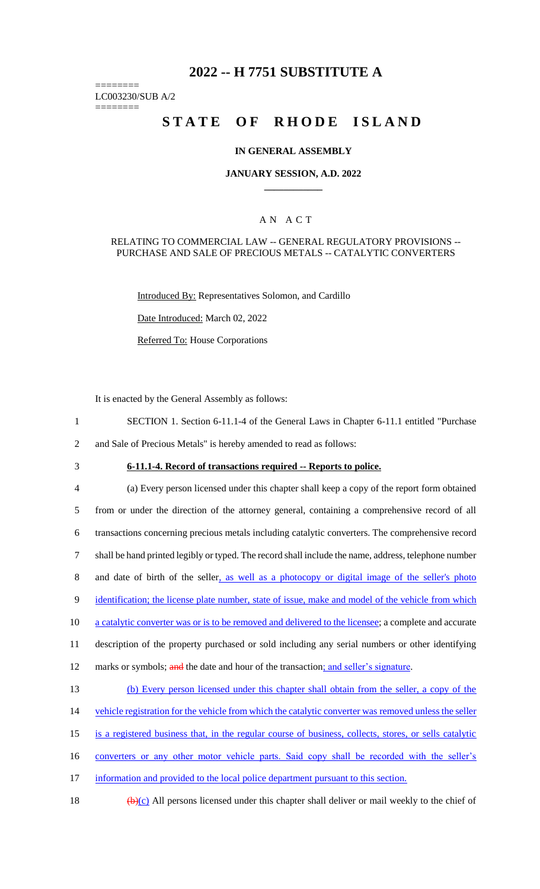## **2022 -- H 7751 SUBSTITUTE A**

======== LC003230/SUB A/2

========

# **STATE OF RHODE ISLAND**

### **IN GENERAL ASSEMBLY**

### **JANUARY SESSION, A.D. 2022 \_\_\_\_\_\_\_\_\_\_\_\_**

## A N A C T

### RELATING TO COMMERCIAL LAW -- GENERAL REGULATORY PROVISIONS -- PURCHASE AND SALE OF PRECIOUS METALS -- CATALYTIC CONVERTERS

Introduced By: Representatives Solomon, and Cardillo

Date Introduced: March 02, 2022

Referred To: House Corporations

It is enacted by the General Assembly as follows:

- 1 SECTION 1. Section 6-11.1-4 of the General Laws in Chapter 6-11.1 entitled "Purchase 2 and Sale of Precious Metals" is hereby amended to read as follows:
- 
- 

# 3 **6-11.1-4. Record of transactions required -- Reports to police.**

 (a) Every person licensed under this chapter shall keep a copy of the report form obtained from or under the direction of the attorney general, containing a comprehensive record of all transactions concerning precious metals including catalytic converters. The comprehensive record shall be hand printed legibly or typed. The record shall include the name, address, telephone number and date of birth of the seller, as well as a photocopy or digital image of the seller's photo 9 identification; the license plate number, state of issue, make and model of the vehicle from which 10 a catalytic converter was or is to be removed and delivered to the licensee; a complete and accurate description of the property purchased or sold including any serial numbers or other identifying 12 marks or symbols; and the date and hour of the transaction; and seller's signature. (b) Every person licensed under this chapter shall obtain from the seller, a copy of the 14 vehicle registration for the vehicle from which the catalytic converter was removed unless the seller is a registered business that, in the regular course of business, collects, stores, or sells catalytic

- 
- 16 converters or any other motor vehicle parts. Said copy shall be recorded with the seller's
- 17 information and provided to the local police department pursuant to this section.
- 18  $(b)(c)$  All persons licensed under this chapter shall deliver or mail weekly to the chief of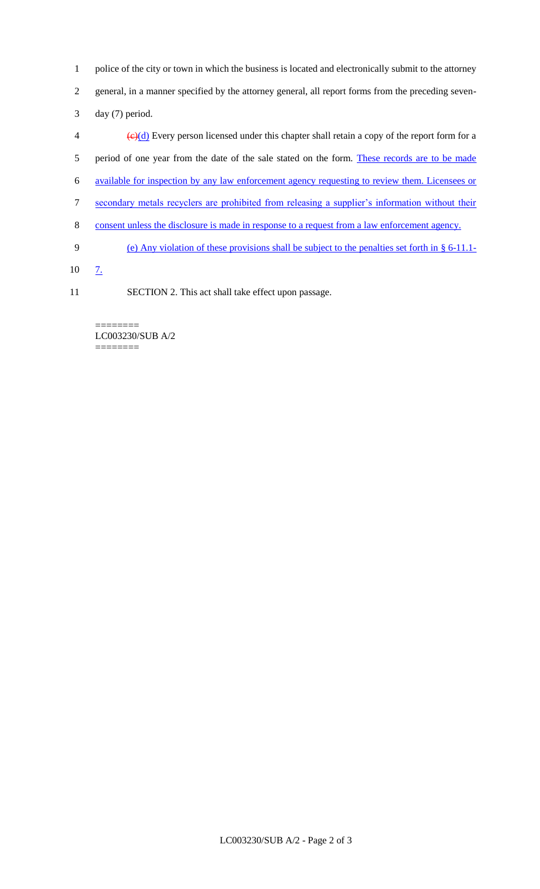- 1 police of the city or town in which the business is located and electronically submit to the attorney 2 general, in a manner specified by the attorney general, all report forms from the preceding seven-
- 3 day (7) period.
- $\left(\frac{e}{c}\right)$  Every person licensed under this chapter shall retain a copy of the report form for a 5 period of one year from the date of the sale stated on the form. These records are to be made 6 available for inspection by any law enforcement agency requesting to review them. Licensees or 7 secondary metals recyclers are prohibited from releasing a supplier's information without their 8 consent unless the disclosure is made in response to a request from a law enforcement agency. 9 (e) Any violation of these provisions shall be subject to the penalties set forth in § 6-11.1-
- 10 7.
- 11 SECTION 2. This act shall take effect upon passage.

======== LC003230/SUB A/2 ========